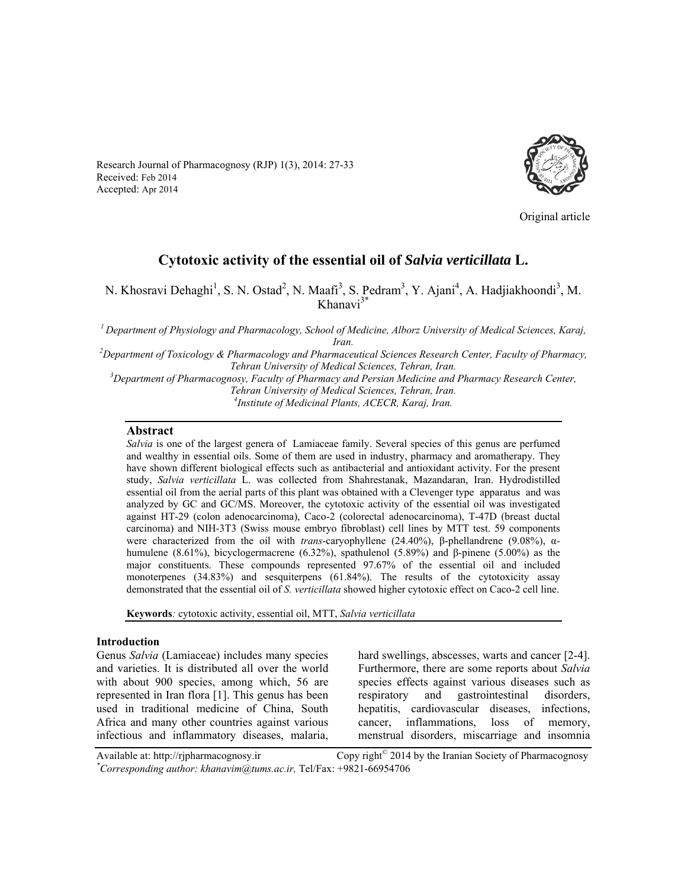Research Journal of Pharmacognosy (RJP) 1(3), 2014: 27-33 Received: Feb 2014 Accepted: Apr 2014



Original article

# **Cytotoxic activity of the essential oil of** *Salvia verticillata* **L.**

N. Khosravi Dehaghi<sup>1</sup>, S. N. Ostad<sup>2</sup>, N. Maafi<sup>3</sup>, S. Pedram<sup>3</sup>, Y. Ajani<sup>4</sup>, A. Hadjiakhoondi<sup>3</sup>, M. Khanavi3\*

*1 Department of Physiology and Pharmacology, School of Medicine, Alborz University of Medical Sciences, Karaj, Iran. 2 Department of Toxicology & Pharmacology and Pharmaceutical Sciences Research Center, Faculty of Pharmacy,* 

**Tehran University of Medical Sciences, Tehran, Iran.** 

<sup>3</sup> Department of Pharmacognosy, Faculty of Pharmacy and Persian Medicine and Pharmacy Research Center, *Tehran University of Medical Sciences, Tehran, Iran. 4 Institute of Medicinal Plants, ACECR, Karaj, Iran.* 

### **Abstract**

*Salvia* is one of the largest genera of Lamiaceae family. Several species of this genus are perfumed and wealthy in essential oils. Some of them are used in industry, pharmacy and aromatherapy. They have shown different biological effects such as antibacterial and antioxidant activity. For the present study, *Salvia verticillata* L. was collected from Shahrestanak, Mazandaran, Iran. Hydrodistilled essential oil from the aerial parts of this plant was obtained with a Clevenger type apparatus and was analyzed by GC and GC/MS. Moreover, the cytotoxic activity of the essential oil was investigated against HT-29 (colon adenocarcinoma), Caco-2 (colorectal adenocarcinoma), T-47D (breast ductal carcinoma) and NIH-3T3 (Swiss mouse embryo fibroblast) cell lines by MTT test. 59 components were characterized from the oil with *trans*-caryophyllene (24.40%), β-phellandrene (9.08%), αhumulene (8.61%), bicyclogermacrene (6.32%), spathulenol (5.89%) and β-pinene (5.00%) as the major constituents. These compounds represented 97.67% of the essential oil and included monoterpenes (34.83%) and sesquiterpens (61.84%). The results of the cytotoxicity assay demonstrated that the essential oil of *S. verticillata* showed higher cytotoxic effect on Caco-2 cell line.

**Keywords***:* cytotoxic activity, essential oil, MTT, *Salvia verticillata*

#### **Introduction**

Genus *Salvia* (Lamiaceae) includes many species and varieties. It is distributed all over the world with about 900 species, among which, 56 are represented in Iran flora [1]. This genus has been used in traditional medicine of China, South Africa and many other countries against various infectious and inflammatory diseases, malaria,

hard swellings, abscesses, warts and cancer [2-4]. Furthermore, there are some reports about *Salvia* species effects against various diseases such as respiratory and gastrointestinal disorders, hepatitis, cardiovascular diseases, infections, cancer, inflammations, loss of memory, menstrual disorders, miscarriage and insomnia

Available at: http://rjpharmacognosy.ir Copy right<sup>©</sup> 2014 by the Iranian Society of Pharmacognosy *\* Corresponding author: khanavim@tums.ac.ir,* Tel/Fax: +9821-66954706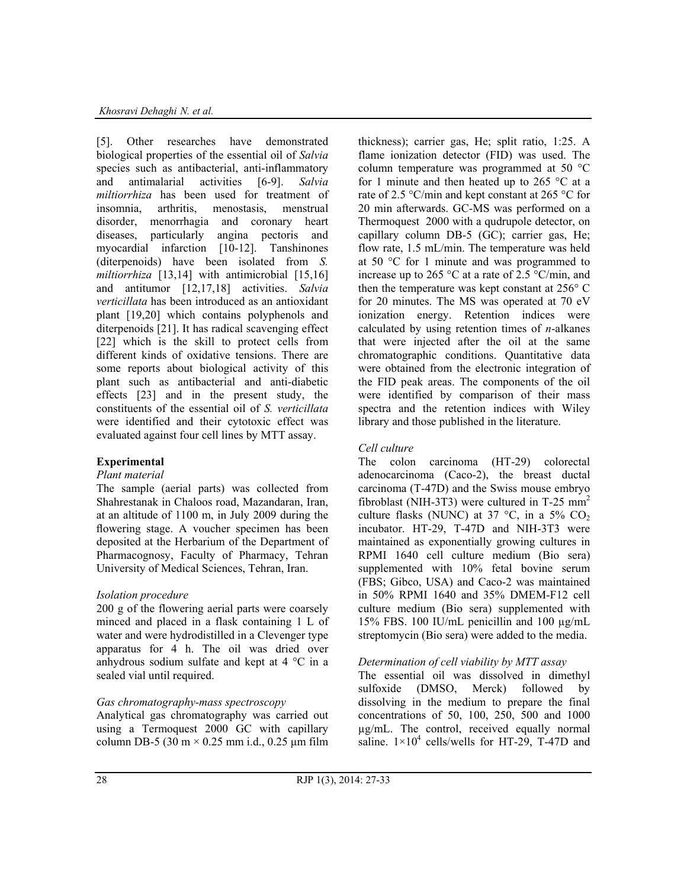[5]. Other researches have demonstrated biological properties of the essential oil of *Salvia* species such as antibacterial, anti-inflammatory and antimalarial activities [6-9]. *Salvia miltiorrhiza* has been used for treatment of insomnia, arthritis, menostasis, menstrual disorder, menorrhagia and coronary heart diseases, particularly angina pectoris and myocardial infarction [10-12]. Tanshinones (diterpenoids) have been isolated from *S. miltiorrhiza* [13,14] with antimicrobial [15,16] and antitumor [12,17,18] activities. *Salvia verticillata* has been introduced as an antioxidant plant [19,20] which contains polyphenols and diterpenoids [21]. It has radical scavenging effect [22] which is the skill to protect cells from different kinds of oxidative tensions. There are some reports about biological activity of this plant such as antibacterial and anti-diabetic effects [23] and in the present study, the constituents of the essential oil of *S. verticillata* were identified and their cytotoxic effect was evaluated against four cell lines by MTT assay.

# **Experimental**

## *Plant material*

The sample (aerial parts) was collected from Shahrestanak in Chaloos road, Mazandaran, Iran, at an altitude of 1100 m, in July 2009 during the flowering stage. A voucher specimen has been deposited at the Herbarium of the Department of Pharmacognosy, Faculty of Pharmacy, Tehran University of Medical Sciences, Tehran, Iran.

# *Isolation procedure*

200 g of the flowering aerial parts were coarsely minced and placed in a flask containing 1 L of water and were hydrodistilled in a Clevenger type apparatus for 4 h. The oil was dried over anhydrous sodium sulfate and kept at 4 °C in a sealed vial until required.

## *Gas chromatography-mass spectroscopy*

Analytical gas chromatography was carried out using a Termoquest 2000 GC with capillary column DB-5 (30 m  $\times$  0.25 mm i.d., 0.25 µm film thickness); carrier gas, He; split ratio, 1:25. A flame ionization detector (FID) was used. The column temperature was programmed at 50 °C for 1 minute and then heated up to 265  $\degree$ C at a rate of 2.5 °C/min and kept constant at 265 °C for 20 min afterwards. GC-MS was performed on a Thermoquest 2000 with a qudrupole detector, on capillary column DB-5 (GC); carrier gas, He; flow rate, 1.5 mL/min. The temperature was held at 50 °C for 1 minute and was programmed to increase up to 265 °C at a rate of 2.5 °C/min, and then the temperature was kept constant at 256° C for 20 minutes. The MS was operated at 70 eV ionization energy. Retention indices were calculated by using retention times of *n*-alkanes that were injected after the oil at the same chromatographic conditions. Quantitative data were obtained from the electronic integration of the FID peak areas. The components of the oil were identified by comparison of their mass spectra and the retention indices with Wiley library and those published in the literature.

# *Cell culture*

The colon carcinoma (HT-29) colorectal adenocarcinoma (Caco-2), the breast ductal carcinoma (T-47D) and the Swiss mouse embryo fibroblast (NIH-3T3) were cultured in T-25  $mm<sup>2</sup>$ culture flasks (NUNC) at 37 °C, in a 5%  $CO<sub>2</sub>$ incubator. HT-29, T-47D and NIH-3T3 were maintained as exponentially growing cultures in RPMI 1640 cell culture medium (Bio sera) supplemented with 10% fetal bovine serum (FBS; Gibco, USA) and Caco-2 was maintained in 50% RPMI 1640 and 35% DMEM-F12 cell culture medium (Bio sera) supplemented with 15% FBS. 100 IU/mL penicillin and 100 µg/mL streptomycin (Bio sera) were added to the media.

# *Determination of cell viability by MTT assay*

The essential oil was dissolved in dimethyl sulfoxide (DMSO, Merck) followed by dissolving in the medium to prepare the final concentrations of 50, 100, 250, 500 and 1000 µg/mL. The control, received equally normal saline.  $1 \times 10^4$  cells/wells for HT-29, T-47D and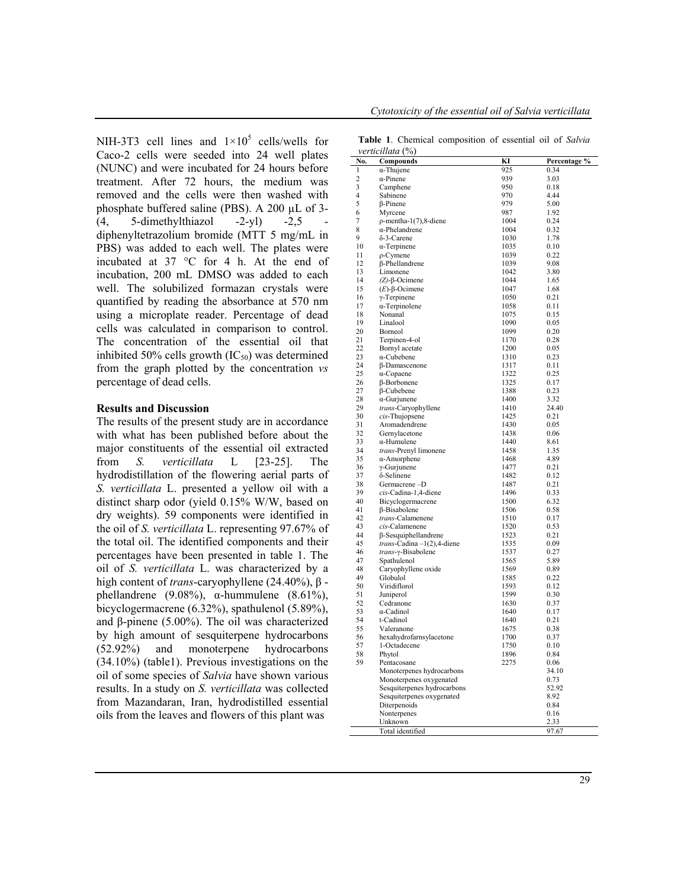NIH-3T3 cell lines and  $1 \times 10^5$  cells/wells for Caco-2 cells were seeded into 24 well plates (NUNC) and were incubated for 24 hours before treatment. After 72 hours, the medium was removed and the cells were then washed with phosphate buffered saline (PBS). A 200 µL of 3-  $(4, 5$ -dimethylthiazol -2-yl) -2,5 diphenyltetrazolium bromide (MTT 5 mg/mL in PBS) was added to each well. The plates were incubated at 37 °C for 4 h. At the end of incubation, 200 mL DMSO was added to each well. The solubilized formazan crystals were quantified by reading the absorbance at 570 nm using a microplate reader. Percentage of dead cells was calculated in comparison to control. The concentration of the essential oil that inhibited 50% cells growth  $(IC_{50})$  was determined from the graph plotted by the concentration *vs* percentage of dead cells.

## **Results and Discussion**

The results of the present study are in accordance with what has been published before about the major constituents of the essential oil extracted from *S. verticillata* L [23-25]. The hydrodistillation of the flowering aerial parts of *S. verticillata* L. presented a yellow oil with a distinct sharp odor (yield 0.15% W/W, based on dry weights). 59 components were identified in the oil of *S. verticillata* L. representing 97.67% of the total oil. The identified components and their percentages have been presented in table 1. The oil of *S. verticillata* L. was characterized by a high content of *trans*-caryophyllene (24.40%), β phellandrene (9.08%), α-hummulene (8.61%), bicyclogermacrene (6.32%), spathulenol (5.89%), and β-pinene (5.00%). The oil was characterized by high amount of sesquiterpene hydrocarbons (52.92%) and monoterpene hydrocarbons (34.10%) (table1). Previous investigations on the oil of some species of *Salvia* have shown various results. In a study on *S. verticillata* was collected from Mazandaran, Iran, hydrodistilled essential oils from the leaves and flowers of this plant was

**Table 1**. Chemical composition of essential oil of *Salvia verticillata* (%)

|                   | $verucuu\bar{u}$ ( $70$ )                            |              |               |
|-------------------|------------------------------------------------------|--------------|---------------|
| No.               | <b>Compounds</b>                                     | KI<br>925    | Percentage %  |
| $\mathbf{1}$<br>2 | $\alpha$ -Thujene                                    | 939          | 0.34          |
| 3                 | $\alpha$ -Pinene                                     | 950          | 3.03<br>0.18  |
| 4                 | Camphene                                             | 970          | 4.44          |
| 5                 | Sabinene                                             | 979          |               |
|                   | $\beta$ -Pinene                                      | 987          | 5.00          |
| 6<br>7            | Myrcene                                              |              | 1.92<br>0.24  |
| 8                 | $\rho$ -mentha-1(7),8-diene<br>$\alpha$ -Phelandrene | 1004<br>1004 | 0.32          |
| 9                 | $\delta$ -3-Carene                                   | 1030         | 1.78          |
| 10                |                                                      | 1035         |               |
| 11                | $\alpha$ -Terpinene<br>$\rho$ -Cymene                | 1039         | 0.10<br>0.22  |
| 12                | β-Phellandrene                                       | 1039         | 9.08          |
| 13                |                                                      | 1042         | 3.80          |
| 14                | Limonene                                             | 1044         | 1.65          |
| 15                | $(Z)$ - $\beta$ -Ocimene                             | 1047         | 1.68          |
|                   | $(E)$ -β-Ocimene                                     |              |               |
| 16<br>17          | $\gamma$ -Terpinene                                  | 1050<br>1058 | 0.21<br>0.11  |
| 18                | $\alpha$ -Terpinolene                                |              |               |
|                   | Nonanal                                              | 1075         | 0.15          |
| 19<br>20          | Linalool                                             | 1090<br>1099 | 0.05          |
|                   | Borneol                                              |              | 0.20          |
| 21                | Terpinen-4-ol                                        | 1170         | 0.28          |
| 22                | Bornyl acetate                                       | 1200         | 0.05          |
| 23                | $\alpha$ -Cubebene                                   | 1310         | 0.23          |
| 24                | $\beta$ -Damascenone                                 | 1317         | 0.11          |
| 25                | $\alpha$ -Copaene                                    | 1322         | 0.25          |
| 26                | $\beta$ -Borbonene                                   | 1325         | 0.17          |
| 27                | β-Cubebene                                           | 1388         | 0.23          |
| 28                | $\alpha$ -Gurjunene                                  | 1400         | 3.32          |
| 29                | trans-Caryophyllene                                  | 1410         | 24.40         |
| 30                | cis-Thujopsene                                       | 1425         | 0.21          |
| 31                | Aromadendrene                                        | 1430         | 0.05          |
| 32                | Gernylacetone                                        | 1438         | 0.06          |
| 33                | $\alpha$ -Humulene                                   | 1440         | 8.61          |
| 34                | trans-Prenyl limonene                                | 1458         | 1.35          |
| 35                | $\alpha$ -Amorphene                                  | 1468         | 4.89          |
| 36                | $\gamma$ -Gurjunene                                  | 1477         | 0.21          |
| 37                | $\delta$ -Selinene                                   | 1482         | 0.12          |
| 38                | Germacrene-D                                         | 1487         | 0.21          |
| 39                | cis-Cadina-1,4-diene                                 | 1496         | 0.33          |
| 40                | Bicyclogermacrene                                    | 1500         | 6.32          |
| 41                | $\beta$ -Bisabolene                                  | 1506         | 0.58          |
| 42                | trans-Calamenene                                     | 1510         | 0.17          |
| 43                | cis-Calamenene                                       | 1520         | 0.53          |
| 44                | $\beta$ -Sesquiphellandrene                          | 1523         | 0.21          |
| 45                | $trans-Cadina -1(2)$ , 4-diene                       | 1535         | 0.09          |
| 46                | trans-y-Bisabolene                                   | 1537         | 0.27          |
| 47                | Spathulenol                                          | 1565         | 5.89          |
| 48                | Caryophyllene oxide                                  | 1569         | 0.89          |
| 49                | Globulol                                             | 1585         | 0.22          |
| 50                | Viridiflorol                                         | 1593         | 0.12          |
| 51<br>52          | Juniperol                                            | 1599         | 0.30          |
| 53                | Cedranone                                            | 1630         | 0.37          |
| 54                | $\alpha$ -Cadinol                                    | 1640         | 0.17          |
| 55                | t-Cadinol                                            | 1640         | 0.21          |
|                   | Valeranone                                           | 1675         | 0.38          |
| 56<br>57          | hexahydrofarnsylacetone                              | 1700<br>1750 | 0.37<br>0.10  |
| 58                | 1-Octadecene                                         |              |               |
| 59                | Phytol                                               | 1896<br>2275 | 0.84<br>0.06  |
|                   | Pentacosane                                          |              | 34.10         |
|                   | Monoterpenes hydrocarbons                            |              |               |
|                   | Monoterpenes oxygenated                              |              | 0.73<br>52.92 |
|                   | Sesquiterpenes hydrocarbons                          |              | 8.92          |
|                   | Sesquiterpenes oxygenated<br>Diterpenoids            |              | 0.84          |
|                   |                                                      |              | 0.16          |
|                   | Nonterpenes<br>Unknown                               |              | 2.33          |
|                   | Total identified                                     |              | 97.67         |
|                   |                                                      |              |               |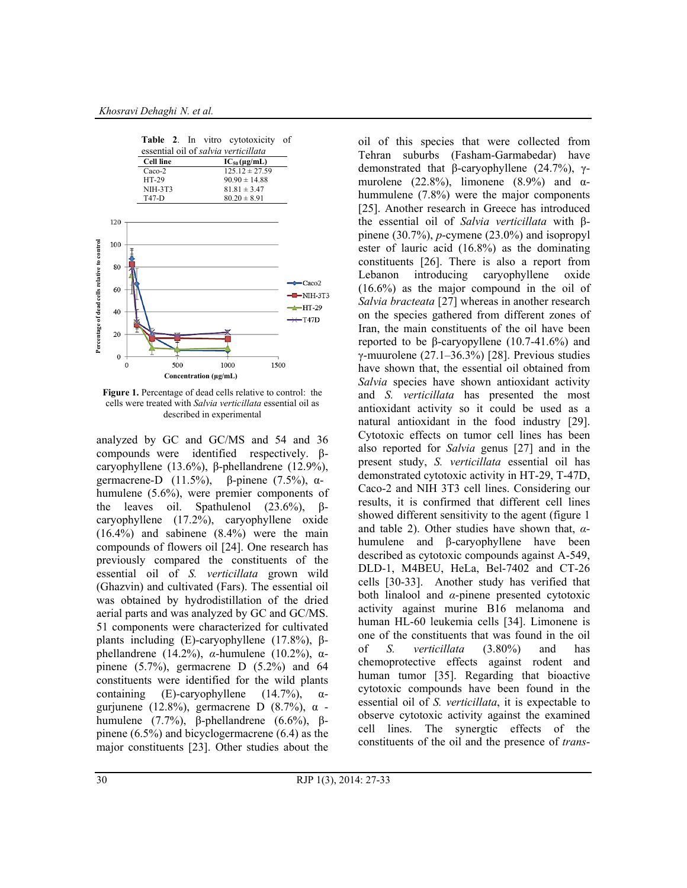

**Figure 1.** Percentage of dead cells relative to control:the cells were treated with *Salvia verticillata* essential oil as described in experimental

analyzed by GC and GC/MS and 54 and 36 compounds were identified respectively. βcaryophyllene (13.6%), β-phellandrene (12.9%), germacrene-D (11.5%), β-pinene (7.5%), αhumulene (5.6%), were premier components of the leaves oil. Spathulenol  $(23.6\%)$ , βcaryophyllene (17.2%), caryophyllene oxide (16.4%) and sabinene (8.4%) were the main compounds of flowers oil [24]. One research has previously compared the constituents of the essential oil of *S. verticillata* grown wild (Ghazvin) and cultivated (Fars). The essential oil was obtained by hydrodistillation of the dried aerial parts and was analyzed by GC and GC/MS. 51 components were characterized for cultivated plants including (E)-caryophyllene (17.8%), βphellandrene (14.2%), *α*-humulene (10.2%), αpinene (5.7%), germacrene D (5.2%) and 64 constituents were identified for the wild plants containing (E)-caryophyllene  $(14.7\%)$ ,  $\alpha$ gurjunene (12.8%), germacrene D (8.7%), α humulene (7.7%), β-phellandrene (6.6%), βpinene (6.5%) and bicyclogermacrene (6.4) as the major constituents [23]. Other studies about the oil of this species that were collected from Tehran suburbs (Fasham-Garmabedar) have demonstrated that β-caryophyllene (24.7%), γmurolene (22.8%), limonene (8.9%) and  $\alpha$ hummulene (7.8%) were the major components [25]. Another research in Greece has introduced the essential oil of *Salvia verticillata* with βpinene (30.7%), *p*-cymene (23.0%) and isopropyl ester of lauric acid (16.8%) as the dominating constituents [26]. There is also a report from Lebanon introducing caryophyllene oxide (16.6%) as the major compound in the oil of *Salvia bracteata* [27] whereas in another research on the species gathered from different zones of Iran, the main constituents of the oil have been reported to be β-caryopyllene (10.7-41.6%) and γ-muurolene (27.1–36.3%) [28]. Previous studies have shown that, the essential oil obtained from *Salvia* species have shown antioxidant activity and *S. verticillata* has presented the most antioxidant activity so it could be used as a natural antioxidant in the food industry [29]. Cytotoxic effects on tumor cell lines has been also reported for *Salvia* genus [27] and in the present study, *S. verticillata* essential oil has demonstrated cytotoxic activity in HT-29, T-47D, Caco-2 and NIH 3T3 cell lines. Considering our results, it is confirmed that different cell lines showed different sensitivity to the agent (figure 1 and table 2). Other studies have shown that, *α*humulene and β-caryophyllene have been described as cytotoxic compounds against A-549, DLD-1, M4BEU, HeLa, Bel-7402 and CT-26 cells [30-33]. Another study has verified that both linalool and *α*-pinene presented cytotoxic activity against murine B16 melanoma and human HL-60 leukemia cells [34]. Limonene is one of the constituents that was found in the oil of *S. verticillata* (3.80%) and has chemoprotective effects against rodent and human tumor [35]. Regarding that bioactive cytotoxic compounds have been found in the essential oil of *S. verticillata*, it is expectable to observe cytotoxic activity against the examined cell lines. The synergtic effects of the constituents of the oil and the presence of *trans*-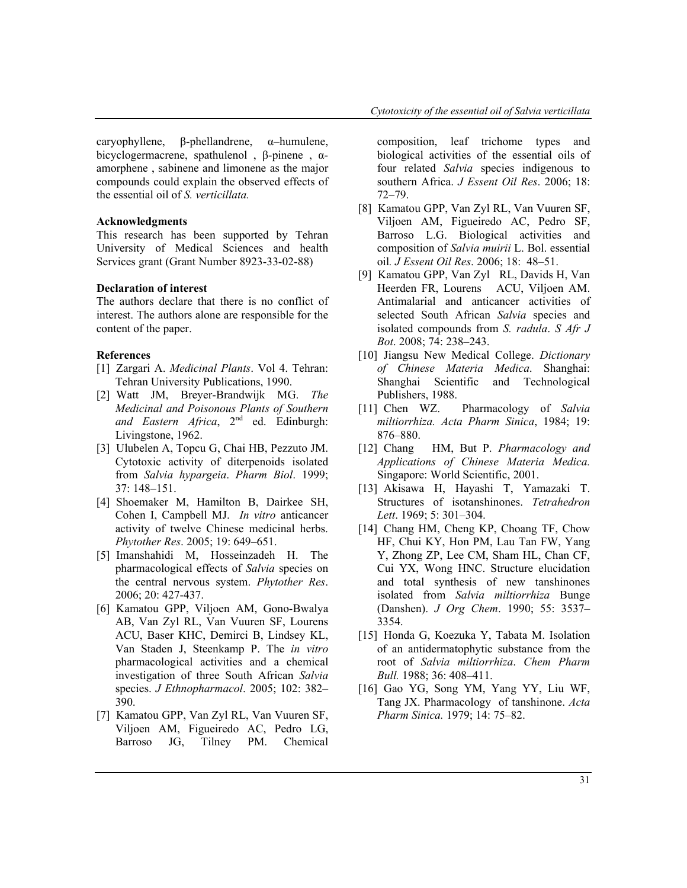caryophyllene, β-phellandrene, α–humulene, bicyclogermacrene, spathulenol , β-pinene , αamorphene , sabinene and limonene as the major compounds could explain the observed effects of the essential oil of *S. verticillata.*

#### **Acknowledgments**

This research has been supported by Tehran University of Medical Sciences and health Services grant (Grant Number 8923-33-02-88)

### **Declaration of interest**

The authors declare that there is no conflict of interest. The authors alone are responsible for the content of the paper.

#### **References**

- [1] Zargari A. *Medicinal Plants*. Vol 4. Tehran: Tehran University Publications, 1990.
- [2] Watt JM, Breyer-Brandwijk MG. *The Medicinal and Poisonous Plants of Southern*  and Eastern Africa, 2<sup>nd</sup> ed. Edinburgh: Livingstone, 1962.
- [3] Ulubelen A, Topcu G, Chai HB, Pezzuto JM. Cytotoxic activity of diterpenoids isolated from *Salvia hypargeia*. *Pharm Biol*. 1999; 37: 148–151.
- [4] Shoemaker M, Hamilton B, Dairkee SH, Cohen I, Campbell MJ. *In vitro* anticancer activity of twelve Chinese medicinal herbs. *Phytother Res*. 2005; 19: 649–651.
- [5] Imanshahidi M, Hosseinzadeh H. The pharmacological effects of *Salvia* species on the central nervous system. *Phytother Res*. 2006; 20: 427-437.
- [6] Kamatou GPP, Viljoen AM, Gono-Bwalya AB, Van Zyl RL, Van Vuuren SF, Lourens ACU, Baser KHC, Demirci B, Lindsey KL, Van Staden J, Steenkamp P. The *in vitro* pharmacological activities and a chemical investigation of three South African *Salvia*  species. *J Ethnopharmacol*. 2005; 102: 382– 390.
- [7] Kamatou GPP, Van Zyl RL, Van Vuuren SF, Viljoen AM, Figueiredo AC, Pedro LG, Barroso JG, Tilney PM. Chemical

composition, leaf trichome types and biological activities of the essential oils of four related *Salvia* species indigenous to southern Africa. *J Essent Oil Res*. 2006; 18: 72–79.

- [8] Kamatou GPP, Van Zyl RL, Van Vuuren SF, Viljoen AM, Figueiredo AC, Pedro SF, Barroso L.G. Biological activities and composition of *Salvia muirii* L. Bol. essential oil*. J Essent Oil Res*. 2006; 18: 48–51.
- [9] Kamatou GPP, Van Zyl RL, Davids H, Van Heerden FR, Lourens ACU, Viljoen AM. Antimalarial and anticancer activities of selected South African *Salvia* species and isolated compounds from *S. radula*. *S Afr J Bot*. 2008; 74: 238–243.
- [10] Jiangsu New Medical College. *Dictionary of Chinese Materia Medica*. Shanghai: Shanghai Scientific and Technological Publishers, 1988.
- [11] Chen WZ. Pharmacology of *Salvia miltiorrhiza. Acta Pharm Sinica*, 1984; 19: 876–880.
- [12] Chang HM, But P. *Pharmacology and Applications of Chinese Materia Medica.*  Singapore: World Scientific, 2001.
- [13] Akisawa H, Hayashi T, Yamazaki T. Structures of isotanshinones. *Tetrahedron Lett*. 1969; 5: 301–304.
- [14] Chang HM, Cheng KP, Choang TF, Chow HF, Chui KY, Hon PM, Lau Tan FW, Yang Y, Zhong ZP, Lee CM, Sham HL, Chan CF, Cui YX, Wong HNC. Structure elucidation and total synthesis of new tanshinones isolated from *Salvia miltiorrhiza* Bunge (Danshen). *J Org Chem*. 1990; 55: 3537– 3354.
- [15] Honda G, Koezuka Y, Tabata M. Isolation of an antidermatophytic substance from the root of *Salvia miltiorrhiza*. *Chem Pharm Bull.* 1988; 36: 408–411.
- [16] Gao YG, Song YM, Yang YY, Liu WF, Tang JX. Pharmacology of tanshinone. *Acta Pharm Sinica.* 1979; 14: 75–82.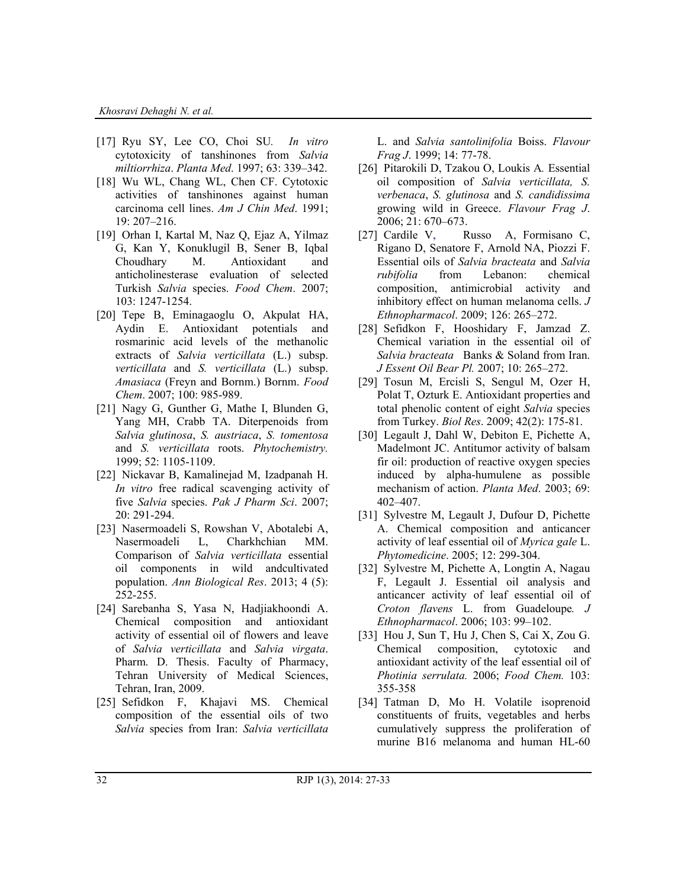- [17] Ryu SY, Lee CO, Choi SU*. In vitro* cytotoxicity of tanshinones from *Salvia miltiorrhiza*. *Planta Med*. 1997; 63: 339–342.
- [18] Wu WL, Chang WL, Chen CF. Cytotoxic activities of tanshinones against human carcinoma cell lines. *Am J Chin Med*. 1991; 19: 207–216.
- [19] Orhan I, Kartal M, Naz Q, Ejaz A, Yilmaz G, Kan Y, Konuklugil B, Sener B, Iqbal Choudhary M. Antioxidant and anticholinesterase evaluation of selected Turkish *Salvia* species. *Food Chem*. 2007; 103: 1247-1254.
- [20] Tepe B, Eminagaoglu O, Akpulat HA, Aydin E. Antioxidant potentials and rosmarinic acid levels of the methanolic extracts of *Salvia verticillata* (L.) subsp. *verticillata* and *S. verticillata* (L.) subsp. *Amasiaca* (Freyn and Bornm.) Bornm. *Food Chem*. 2007; 100: 985-989.
- [21] Nagy G, Gunther G, Mathe I, Blunden G, Yang MH, Crabb TA. Diterpenoids from *Salvia glutinosa*, *S. austriaca*, *S. tomentosa* and *S. verticillata* roots. *Phytochemistry.* 1999; 52: 1105-1109.
- [22] Nickavar B, Kamalinejad M, Izadpanah H. *In vitro* free radical scavenging activity of five *Salvia* species. *Pak J Pharm Sci*. 2007; 20: 291-294.
- [23] Nasermoadeli S, Rowshan V, Abotalebi A, Nasermoadeli L, Charkhchian MM. Comparison of *Salvia verticillata* essential oil components in wild andcultivated population. *Ann Biological Res*. 2013; 4 (5): 252-255.
- [24] Sarebanha S, Yasa N, Hadjiakhoondi A. Chemical composition and antioxidant activity of essential oil of flowers and leave of *Salvia verticillata* and *Salvia virgata*. Pharm. D. Thesis. Faculty of Pharmacy, Tehran University of Medical Sciences, Tehran, Iran, 2009.
- [25] Sefidkon F, Khajavi MS. Chemical composition of the essential oils of two *Salvia* species from Iran: *Salvia verticillata*

L. and *Salvia santolinifolia* Boiss. *Flavour Frag J*. 1999; 14: 77-78.

- [26] Pitarokili D, Tzakou O, Loukis A*.* Essential oil composition of *Salvia verticillata, S. verbenaca*, *S. glutinosa* and *S. candidissima*  growing wild in Greece. *Flavour Frag J*. 2006; 21: 670–673.
- [27] Cardile V, Russo A, Formisano C, Rigano D, Senatore F, Arnold NA, Piozzi F. Essential oils of *Salvia bracteata* and *Salvia rubifolia* from Lebanon: chemical composition, antimicrobial activity and inhibitory effect on human melanoma cells. *J Ethnopharmacol*. 2009; 126: 265–272.
- [28] Sefidkon F, Hooshidary F, Jamzad Z. Chemical variation in the essential oil of *Salvia bracteata* Banks & Soland from Iran. *J Essent Oil Bear Pl.* 2007; 10: 265–272.
- [29] Tosun M, Ercisli S, Sengul M, Ozer H, Polat T, Ozturk E. Antioxidant properties and total phenolic content of eight *Salvia* species from Turkey. *Biol Res*. 2009; 42(2): 175-81.
- [30] Legault J, Dahl W, Debiton E, Pichette A, Madelmont JC. Antitumor activity of balsam fir oil: production of reactive oxygen species induced by alpha-humulene as possible mechanism of action. *Planta Med*. 2003; 69: 402–407.
- [31] Sylvestre M, Legault J, Dufour D, Pichette A. Chemical composition and anticancer activity of leaf essential oil of *Myrica gale* L. *Phytomedicine*. 2005; 12: 299-304.
- [32] Sylvestre M, Pichette A, Longtin A, Nagau F, Legault J. Essential oil analysis and anticancer activity of leaf essential oil of *Croton flavens* L. from Guadeloupe*. J Ethnopharmacol*. 2006; 103: 99–102.
- [33] Hou J, Sun T, Hu J, Chen S, Cai X, Zou G. Chemical composition, cytotoxic and antioxidant activity of the leaf essential oil of *Photinia serrulata.* 2006; *Food Chem.* 103: 355-358
- [34] Tatman D, Mo H. Volatile isoprenoid constituents of fruits, vegetables and herbs cumulatively suppress the proliferation of murine B16 melanoma and human HL-60